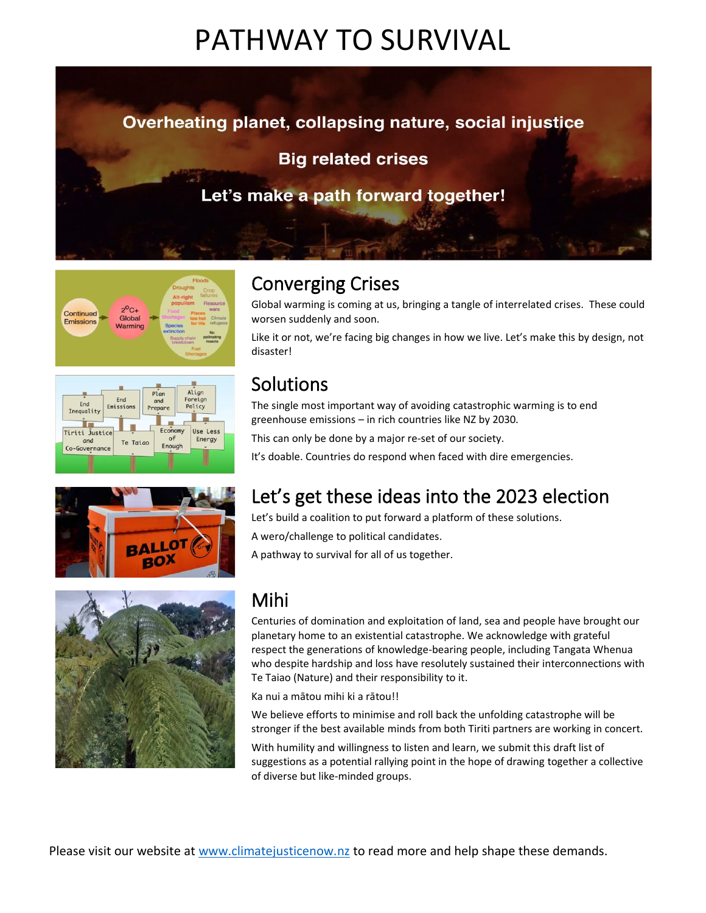# PATHWAY TO SURVIVAL











## Converging Crises

Global warming is coming at us, bringing a tangle of interrelated crises. These could worsen suddenly and soon.

Like it or not, we're facing big changes in how we live. Let's make this by design, not disaster!

## Solutions

The single most important way of avoiding catastrophic warming is to end greenhouse emissions – in rich countries like NZ by 2030.

This can only be done by a major re-set of our society.

It's doable. Countries do respond when faced with dire emergencies.

### Let's get these ideas into the 2023 election

Let's build a coalition to put forward a platform of these solutions.

A wero/challenge to political candidates.

A pathway to survival for all of us together.

### Mihi

Centuries of domination and exploitation of land, sea and people have brought our planetary home to an existential catastrophe. We acknowledge with grateful respect the generations of knowledge-bearing people, including Tangata Whenua who despite hardship and loss have resolutely sustained their interconnections with Te Taiao (Nature) and their responsibility to it.

Ka nui a mātou mihi ki a rātou!!

We believe efforts to minimise and roll back the unfolding catastrophe will be stronger if the best available minds from both Tiriti partners are working in concert.

With humility and willingness to listen and learn, we submit this draft list of suggestions as a potential rallying point in the hope of drawing together a collective of diverse but like-minded groups.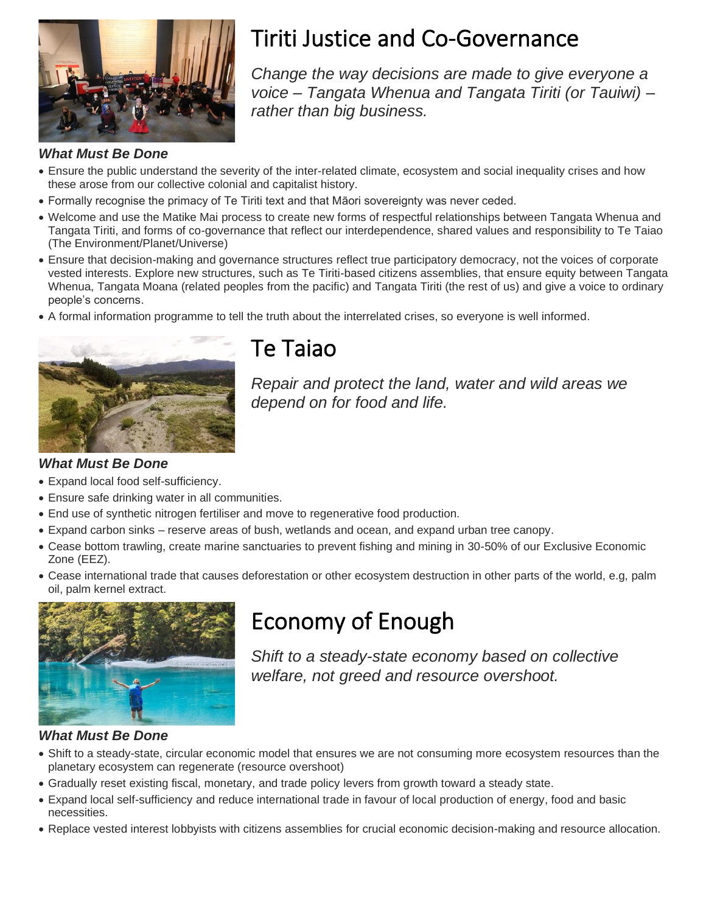

# Tiriti Justice and Co-Governance

*Change the way decisions are made to give everyone a voice – Tangata Whenua and Tangata Tiriti (or Tauiwi) – rather than big business.*

### *What Must Be Done*

- Ensure the public understand the severity of the inter-related climate, ecosystem and social inequality crises and how these arose from our collective colonial and capitalist history.
- Formally recognise the primacy of Te Tiriti text and that Māori sovereignty was never ceded.
- Welcome and use the Matike Mai process to create new forms of respectful relationships between Tangata Whenua and Tangata Tiriti, and forms of co-governance that reflect our interdependence, shared values and responsibility to Te Taiao (The Environment/Planet/Universe)
- Ensure that decision-making and governance structures reflect true participatory democracy, not the voices of corporate vested interests. Explore new structures, such as Te Tiriti-based citizens assemblies, that ensure equity between Tangata Whenua, Tangata Moana (related peoples from the pacific) and Tangata Tiriti (the rest of us) and give a voice to ordinary people's concerns.
- A formal information programme to tell the truth about the interrelated crises, so everyone is well informed.



## Te Taiao

*Repair and protect the land, water and wild areas we depend on for food and life.*

### *What Must Be Done*

- Expand local food self-sufficiency.
- Ensure safe drinking water in all communities.
- End use of synthetic nitrogen fertiliser and move to regenerative food production.
- Expand carbon sinks reserve areas of bush, wetlands and ocean, and expand urban tree canopy.
- Cease bottom trawling, create marine sanctuaries to prevent fishing and mining in 30-50% of our Exclusive Economic Zone (EEZ).
- Cease international trade that causes deforestation or other ecosystem destruction in other parts of the world, e.g, palm oil, palm kernel extract.



# Economy of Enough

*Shift to a steady-state economy based on collective welfare, not greed and resource overshoot.*

#### *What Must Be Done*

- Shift to a steady-state, circular economic model that ensures we are not consuming more ecosystem resources than the planetary ecosystem can regenerate (resource overshoot)
- Gradually reset existing fiscal, monetary, and trade policy levers from growth toward a steady state.
- Expand local self-sufficiency and reduce international trade in favour of local production of energy, food and basic necessities.
- Replace vested interest lobbyists with citizens assemblies for crucial economic decision-making and resource allocation.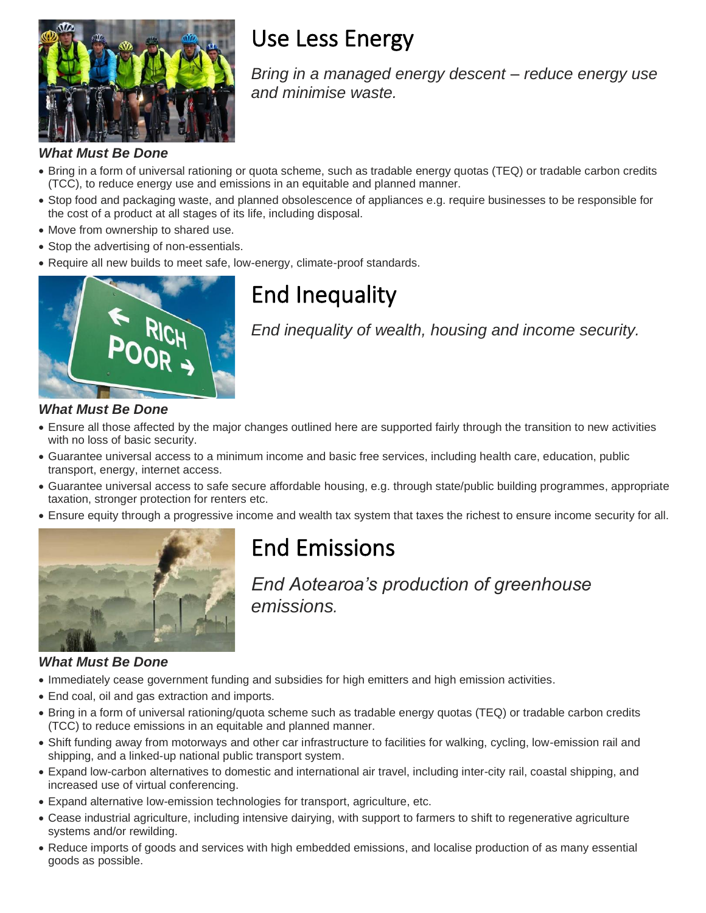

# Use Less Energy

*Bring in a managed energy descent – reduce energy use and minimise waste.*

### *What Must Be Done*

- Bring in a form of universal rationing or quota scheme, such as tradable energy quotas (TEQ) or tradable carbon credits (TCC), to reduce energy use and emissions in an equitable and planned manner.
- Stop food and packaging waste, and planned obsolescence of appliances e.g. require businesses to be responsible for the cost of a product at all stages of its life, including disposal.
- Move from ownership to shared use.
- Stop the advertising of non-essentials.
- Require all new builds to meet safe, low-energy, climate-proof standards.



# End Inequality

*End inequality of wealth, housing and income security.*

### *What Must Be Done*

- Ensure all those affected by the major changes outlined here are supported fairly through the transition to new activities with no loss of basic security.
- Guarantee universal access to a minimum income and basic free services, including health care, education, public transport, energy, internet access.
- Guarantee universal access to safe secure affordable housing, e.g. through state/public building programmes, appropriate taxation, stronger protection for renters etc.
- Ensure equity through a progressive income and wealth tax system that taxes the richest to ensure income security for all.



# End Emissions

*End Aotearoa's production of greenhouse emissions.*

### *What Must Be Done*

- Immediately cease government funding and subsidies for high emitters and high emission activities.
- End coal, oil and gas extraction and imports.
- Bring in a form of universal rationing/quota scheme such as tradable energy quotas (TEQ) or tradable carbon credits (TCC) to reduce emissions in an equitable and planned manner.
- Shift funding away from motorways and other car infrastructure to facilities for walking, cycling, low-emission rail and shipping, and a linked-up national public transport system.
- Expand low-carbon alternatives to domestic and international air travel, including inter-city rail, coastal shipping, and increased use of virtual conferencing.
- Expand alternative low-emission technologies for transport, agriculture, etc.
- Cease industrial agriculture, including intensive dairying, with support to farmers to shift to regenerative agriculture systems and/or rewilding.
- Reduce imports of goods and services with high embedded emissions, and localise production of as many essential goods as possible.